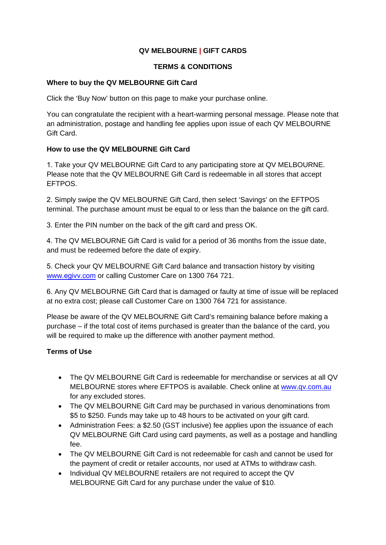# **QV MELBOURNE | GIFT CARDS**

#### **TERMS & CONDITIONS**

#### **Where to buy the QV MELBOURNE Gift Card**

Click the 'Buy Now' button on this page to make your purchase online.

You can congratulate the recipient with a heart-warming personal message. Please note that an administration, postage and handling fee applies upon issue of each QV MELBOURNE Gift Card.

### **How to use the QV MELBOURNE Gift Card**

1. Take your QV MELBOURNE Gift Card to any participating store at QV MELBOURNE. Please note that the QV MELBOURNE Gift Card is redeemable in all stores that accept EFTPOS.

2. Simply swipe the QV MELBOURNE Gift Card, then select 'Savings' on the EFTPOS terminal. The purchase amount must be equal to or less than the balance on the gift card.

3. Enter the PIN number on the back of the gift card and press OK.

4. The QV MELBOURNE Gift Card is valid for a period of 36 months from the issue date, and must be redeemed before the date of expiry.

5. Check your QV MELBOURNE Gift Card balance and transaction history by visiting www.egivv.com [or calling Cu](http://www.givvkiosk.com/)stomer Care on 1300 764 721.

6. Any QV MELBOURNE Gift Card that is damaged or faulty at time of issue will be replaced at no extra cost; please call Customer Care on 1300 764 721 for assistance.

Please be aware of the QV MELBOURNE Gift Card's remaining balance before making a purchase – if the total cost of items purchased is greater than the balance of the card, you will be required to make up the difference with another payment method.

# **Terms of Use**

- The QV MELBOURNE Gift Card is redeemable for merchandise or services at all QV MELBOURNE stores where EFTPOS is available. Check online at [www.qv.com.au](http://www.qv.com.au/) for any excluded stores.
- The QV MELBOURNE Gift Card may be purchased in various denominations from \$5 to \$250. Funds may take up to 48 hours to be activated on your gift card.
- Administration Fees: a \$2.50 (GST inclusive) fee applies upon the issuance of each QV MELBOURNE Gift Card using card payments, as well as a postage and handling fee.
- The QV MELBOURNE Gift Card is not redeemable for cash and cannot be used for the payment of credit or retailer accounts, nor used at ATMs to withdraw cash.
- Individual QV MELBOURNE retailers are not required to accept the QV MELBOURNE Gift Card for any purchase under the value of \$10.